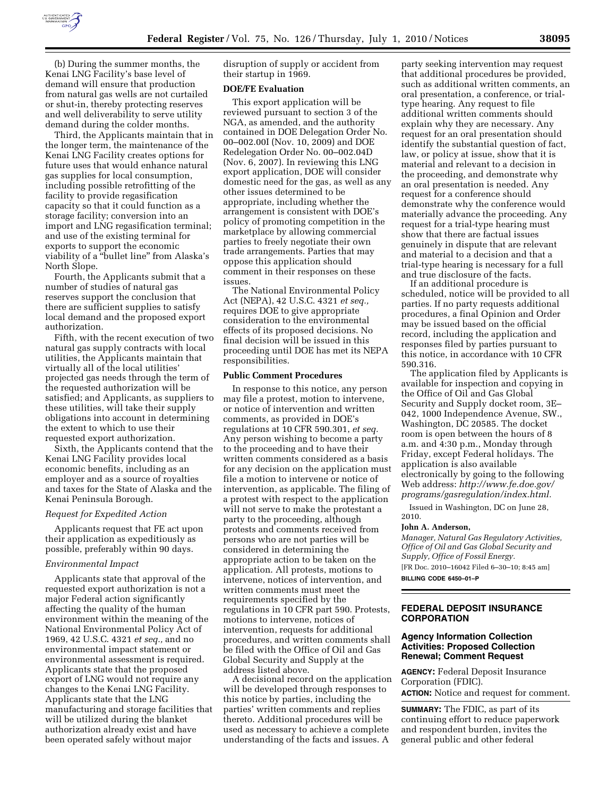

(b) During the summer months, the Kenai LNG Facility's base level of demand will ensure that production from natural gas wells are not curtailed or shut-in, thereby protecting reserves and well deliverability to serve utility demand during the colder months.

Third, the Applicants maintain that in the longer term, the maintenance of the Kenai LNG Facility creates options for future uses that would enhance natural gas supplies for local consumption, including possible retrofitting of the facility to provide regasification capacity so that it could function as a storage facility; conversion into an import and LNG regasification terminal; and use of the existing terminal for exports to support the economic viability of a ''bullet line'' from Alaska's North Slope.

Fourth, the Applicants submit that a number of studies of natural gas reserves support the conclusion that there are sufficient supplies to satisfy local demand and the proposed export authorization.

Fifth, with the recent execution of two natural gas supply contracts with local utilities, the Applicants maintain that virtually all of the local utilities' projected gas needs through the term of the requested authorization will be satisfied; and Applicants, as suppliers to these utilities, will take their supply obligations into account in determining the extent to which to use their requested export authorization.

Sixth, the Applicants contend that the Kenai LNG Facility provides local economic benefits, including as an employer and as a source of royalties and taxes for the State of Alaska and the Kenai Peninsula Borough.

## *Request for Expedited Action*

Applicants request that FE act upon their application as expeditiously as possible, preferably within 90 days.

## *Environmental Impact*

Applicants state that approval of the requested export authorization is not a major Federal action significantly affecting the quality of the human environment within the meaning of the National Environmental Policy Act of 1969, 42 U.S.C. 4321 *et seq.,* and no environmental impact statement or environmental assessment is required. Applicants state that the proposed export of LNG would not require any changes to the Kenai LNG Facility. Applicants state that the LNG manufacturing and storage facilities that will be utilized during the blanket authorization already exist and have been operated safely without major

disruption of supply or accident from their startup in 1969.

#### **DOE/FE Evaluation**

This export application will be reviewed pursuant to section 3 of the NGA, as amended, and the authority contained in DOE Delegation Order No. 00–002.00I (Nov. 10, 2009) and DOE Redelegation Order No. 00–002.04D (Nov. 6, 2007). In reviewing this LNG export application, DOE will consider domestic need for the gas, as well as any other issues determined to be appropriate, including whether the arrangement is consistent with DOE's policy of promoting competition in the marketplace by allowing commercial parties to freely negotiate their own trade arrangements. Parties that may oppose this application should comment in their responses on these issues.

The National Environmental Policy Act (NEPA), 42 U.S.C. 4321 *et seq.,*  requires DOE to give appropriate consideration to the environmental effects of its proposed decisions. No final decision will be issued in this proceeding until DOE has met its NEPA responsibilities.

#### **Public Comment Procedures**

In response to this notice, any person may file a protest, motion to intervene, or notice of intervention and written comments, as provided in DOE's regulations at 10 CFR 590.301, *et seq.*  Any person wishing to become a party to the proceeding and to have their written comments considered as a basis for any decision on the application must file a motion to intervene or notice of intervention, as applicable. The filing of a protest with respect to the application will not serve to make the protestant a party to the proceeding, although protests and comments received from persons who are not parties will be considered in determining the appropriate action to be taken on the application. All protests, motions to intervene, notices of intervention, and written comments must meet the requirements specified by the regulations in 10 CFR part 590. Protests, motions to intervene, notices of intervention, requests for additional procedures, and written comments shall be filed with the Office of Oil and Gas Global Security and Supply at the address listed above.

A decisional record on the application will be developed through responses to this notice by parties, including the parties' written comments and replies thereto. Additional procedures will be used as necessary to achieve a complete understanding of the facts and issues. A

party seeking intervention may request that additional procedures be provided, such as additional written comments, an oral presentation, a conference, or trialtype hearing. Any request to file additional written comments should explain why they are necessary. Any request for an oral presentation should identify the substantial question of fact, law, or policy at issue, show that it is material and relevant to a decision in the proceeding, and demonstrate why an oral presentation is needed. Any request for a conference should demonstrate why the conference would materially advance the proceeding. Any request for a trial-type hearing must show that there are factual issues genuinely in dispute that are relevant and material to a decision and that a trial-type hearing is necessary for a full and true disclosure of the facts.

If an additional procedure is scheduled, notice will be provided to all parties. If no party requests additional procedures, a final Opinion and Order may be issued based on the official record, including the application and responses filed by parties pursuant to this notice, in accordance with 10 CFR 590.316.

The application filed by Applicants is available for inspection and copying in the Office of Oil and Gas Global Security and Supply docket room, 3E– 042, 1000 Independence Avenue, SW., Washington, DC 20585. The docket room is open between the hours of 8 a.m. and 4:30 p.m., Monday through Friday, except Federal holidays. The application is also available electronically by going to the following Web address: *http://www.fe.doe.gov/ programs/gasregulation/index.html.* 

Issued in Washington, DC on June 28, 2010.

#### **John A. Anderson,**

*Manager, Natural Gas Regulatory Activities, Office of Oil and Gas Global Security and Supply, Office of Fossil Energy.*  [FR Doc. 2010–16042 Filed 6–30–10; 8:45 am]

**BILLING CODE 6450–01–P** 

# **FEDERAL DEPOSIT INSURANCE CORPORATION**

# **Agency Information Collection Activities: Proposed Collection Renewal; Comment Request**

**AGENCY:** Federal Deposit Insurance Corporation (FDIC).

**ACTION:** Notice and request for comment.

**SUMMARY:** The FDIC, as part of its continuing effort to reduce paperwork and respondent burden, invites the general public and other federal